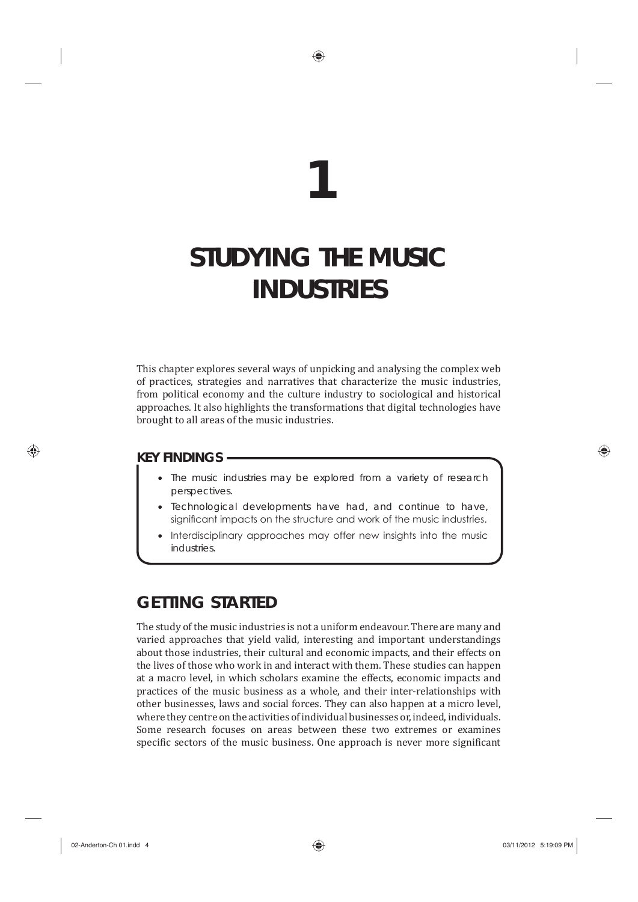# **1 STUDYING THE MUSIC INDUSTRIES**

This chapter explores several ways of unpicking and analysing the complex web of practices, strategies and narratives that characterize the music industries, from political economy and the culture industry to sociological and historical approaches. It also highlights the transformations that digital technologies have brought to all areas of the music industries.

#### **KEY FINDINGS**

♠

- The music industries may be explored from a variety of research perspectives.
- Technological developments have had, and continue to have, significant impacts on the structure and work of the music industries.
- Interdisciplinary approaches may offer new insights into the music industries.

#### **GETTING STARTED**

The study of the music industries is not a uniform endeavour. There are many and varied approaches that yield valid, interesting and important understandings about those industries, their cultural and economic impacts, and their effects on the lives of those who work in and interact with them. These studies can happen at a macro level, in which scholars examine the effects, economic impacts and practices of the music business as a whole, and their inter-relationships with other businesses, laws and social forces. They can also happen at a micro level, where they centre on the activities of individual businesses or, indeed, individuals. Some research focuses on areas between these two extremes or examines specific sectors of the music business. One approach is never more significant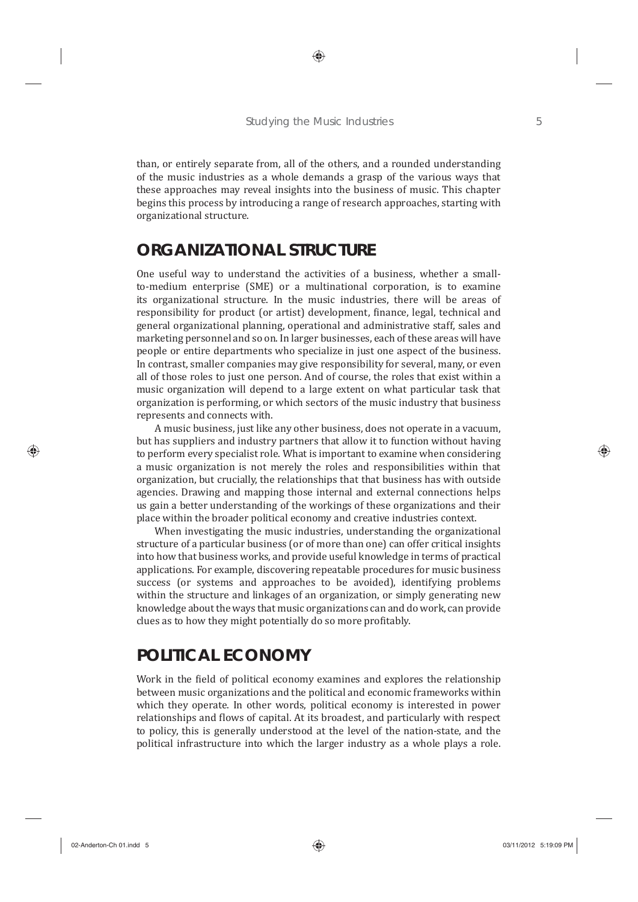than, or entirely separate from, all of the others, and a rounded understanding of the music industries as a whole demands a grasp of the various ways that these approaches may reveal insights into the business of music. This chapter begins this process by introducing a range of research approaches, starting with organizational structure.

#### **ORGANIZATIONAL STRUCTURE**

One useful way to understand the activities of a business, whether a smallto-medium enterprise (SME) or a multinational corporation, is to examine its organizational structure. In the music industries, there will be areas of responsibility for product (or artist) development, finance, legal, technical and general organizational planning, operational and administrative staff, sales and marketing personnel and so on. In larger businesses, each of these areas will have people or entire departments who specialize in just one aspect of the business. In contrast, smaller companies may give responsibility for several, many, or even all of those roles to just one person. And of course, the roles that exist within a music organization will depend to a large extent on what particular task that organization is performing, or which sectors of the music industry that business represents and connects with.

A music business, just like any other business, does not operate in a vacuum, but has suppliers and industry partners that allow it to function without having to perform every specialist role. What is important to examine when considering a music organization is not merely the roles and responsibilities within that organization, but crucially, the relationships that that business has with outside agencies. Drawing and mapping those internal and external connections helps us gain a better understanding of the workings of these organizations and their place within the broader political economy and creative industries context.

When investigating the music industries, understanding the organizational structure of a particular business (or of more than one) can offer critical insights into how that business works, and provide useful knowledge in terms of practical applications. For example, discovering repeatable procedures for music business success (or systems and approaches to be avoided), identifying problems within the structure and linkages of an organization, or simply generating new knowledge about the ways that music organizations can and do work, can provide clues as to how they might potentially do so more profitably.

## **POLITICAL ECONOMY**

Work in the field of political economy examines and explores the relationship between music organizations and the political and economic frameworks within which they operate. In other words, political economy is interested in power relationships and flows of capital. At its broadest, and particularly with respect to policy, this is generally understood at the level of the nation-state, and the political infrastructure into which the larger industry as a whole plays a role.

♠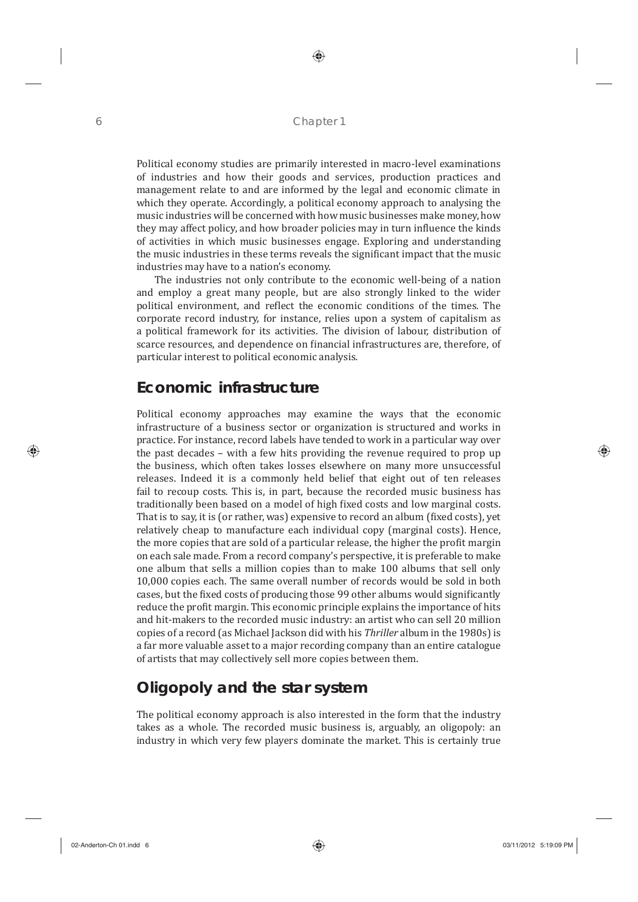◈

Political economy studies are primarily interested in macro-level examinations of industries and how their goods and services, production practices and management relate to and are informed by the legal and economic climate in which they operate. Accordingly, a political economy approach to analysing the music industries will be concerned with how music businesses make money, how they may affect policy, and how broader policies may in turn influence the kinds of activities in which music businesses engage. Exploring and understanding the music industries in these terms reveals the significant impact that the music industries may have to a nation's economy.

The industries not only contribute to the economic well-being of a nation and employ a great many people, but are also strongly linked to the wider political environment, and reflect the economic conditions of the times. The corporate record industry, for instance, relies upon a system of capitalism as a political framework for its activities. The division of labour, distribution of scarce resources, and dependence on financial infrastructures are, therefore, of particular interest to political economic analysis.

#### **Economic infrastructure**

Political economy approaches may examine the ways that the economic infrastructure of a business sector or organization is structured and works in practice. For instance, record labels have tended to work in a particular way over the past decades – with a few hits providing the revenue required to prop up the business, which often takes losses elsewhere on many more unsuccessful releases. Indeed it is a commonly held belief that eight out of ten releases fail to recoup costs. This is, in part, because the recorded music business has traditionally been based on a model of high fixed costs and low marginal costs. That is to say, it is (or rather, was) expensive to record an album (fixed costs), yet relatively cheap to manufacture each individual copy (marginal costs). Hence, the more copies that are sold of a particular release, the higher the profit margin on each sale made. From a record company's perspective, it is preferable to make one album that sells a million copies than to make 100 albums that sell only 10,000 copies each. The same overall number of records would be sold in both cases, but the fixed costs of producing those 99 other albums would significantly reduce the profit margin. This economic principle explains the importance of hits and hit-makers to the recorded music industry: an artist who can sell 20 million copies of a record (as Michael Jackson did with his *Thriller* album in the 1980s) is a far more valuable asset to a major recording company than an entire catalogue of artists that may collectively sell more copies between them.

#### **Oligopoly and the star system**

The political economy approach is also interested in the form that the industry takes as a whole. The recorded music business is, arguably, an oligopoly: an industry in which very few players dominate the market. This is certainly true

♠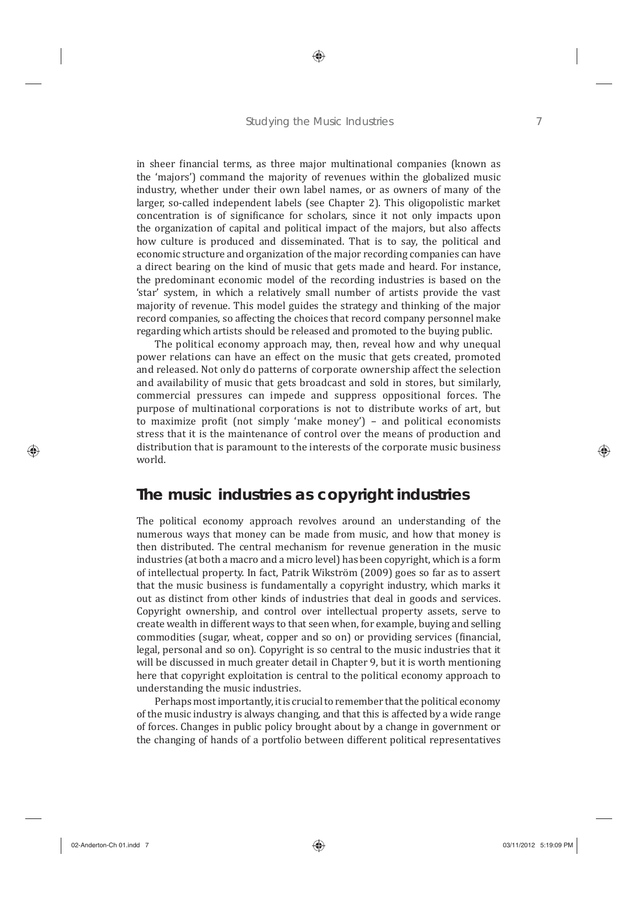#### Studying the Music Industries 7

◈

in sheer financial terms, as three major multinational companies (known as the 'majors') command the majority of revenues within the globalized music industry, whether under their own label names, or as owners of many of the larger, so-called independent labels (see Chapter 2). This oligopolistic market concentration is of significance for scholars, since it not only impacts upon the organization of capital and political impact of the majors, but also affects how culture is produced and disseminated. That is to say, the political and economic structure and organization of the major recording companies can have a direct bearing on the kind of music that gets made and heard. For instance, the predominant economic model of the recording industries is based on the 'star' system, in which a relatively small number of artists provide the vast majority of revenue. This model guides the strategy and thinking of the major record companies, so affecting the choices that record company personnel make regarding which artists should be released and promoted to the buying public.

The political economy approach may, then, reveal how and why unequal power relations can have an effect on the music that gets created, promoted and released. Not only do patterns of corporate ownership affect the selection and availability of music that gets broadcast and sold in stores, but similarly, commercial pressures can impede and suppress oppositional forces. The purpose of multinational corporations is not to distribute works of art, but to maximize profit (not simply 'make money') - and political economists stress that it is the maintenance of control over the means of production and distribution that is paramount to the interests of the corporate music business world.

#### **The music industries as copyright industries**

The political economy approach revolves around an understanding of the numerous ways that money can be made from music, and how that money is then distributed. The central mechanism for revenue generation in the music industries (at both a macro and a micro level) has been copyright, which is a form of intellectual property. In fact, Patrik Wikström (2009) goes so far as to assert that the music business is fundamentally a copyright industry, which marks it out as distinct from other kinds of industries that deal in goods and services. Copyright ownership, and control over intellectual property assets, serve to create wealth in different ways to that seen when, for example, buying and selling commodities (sugar, wheat, copper and so on) or providing services (financial, legal, personal and so on). Copyright is so central to the music industries that it will be discussed in much greater detail in Chapter 9, but it is worth mentioning here that copyright exploitation is central to the political economy approach to understanding the music industries.

Perhaps most importantly, it is crucial to remember that the political economy of the music industry is always changing, and that this is affected by a wide range of forces. Changes in public policy brought about by a change in government or the changing of hands of a portfolio between different political representatives

♠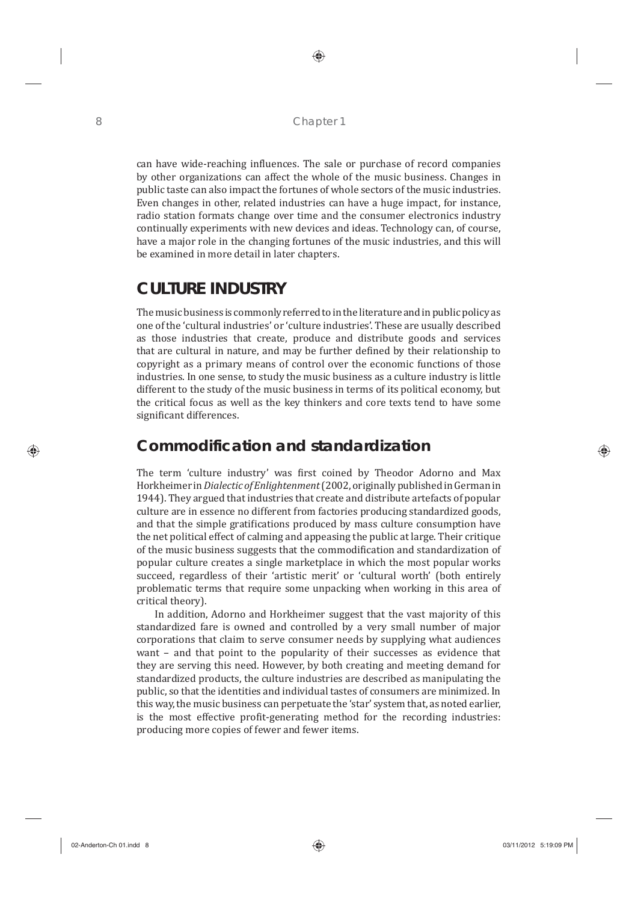◈

can have wide-reaching influences. The sale or purchase of record companies by other organizations can affect the whole of the music business. Changes in public taste can also impact the fortunes of whole sectors of the music industries. Even changes in other, related industries can have a huge impact, for instance, radio station formats change over time and the consumer electronics industry continually experiments with new devices and ideas. Technology can, of course, have a major role in the changing fortunes of the music industries, and this will be examined in more detail in later chapters.

#### **CULTURE INDUSTRY**

The music business is commonly referred to in the literature and in public policy as one of the 'cultural industries' or 'culture industries'. These are usually described as those industries that create, produce and distribute goods and services that are cultural in nature, and may be further defined by their relationship to copyright as a primary means of control over the economic functions of those industries. In one sense, to study the music business as a culture industry is little different to the study of the music business in terms of its political economy, but the critical focus as well as the key thinkers and core texts tend to have some significant differences.

#### **Commodification and standardization**

The term 'culture industry' was first coined by Theodor Adorno and Max Horkheimer in *Dialectic of Enlightenment* (2002, originally published in German in 1944). They argued that industries that create and distribute artefacts of popular culture are in essence no different from factories producing standardized goods, and that the simple gratifications produced by mass culture consumption have the net political effect of calming and appeasing the public at large. Their critique of the music business suggests that the commodification and standardization of popular culture creates a single marketplace in which the most popular works succeed, regardless of their 'artistic merit' or 'cultural worth' (both entirely problematic terms that require some unpacking when working in this area of critical theory).

In addition, Adorno and Horkheimer suggest that the vast majority of this standardized fare is owned and controlled by a very small number of major corporations that claim to serve consumer needs by supplying what audiences want – and that point to the popularity of their successes as evidence that they are serving this need. However, by both creating and meeting demand for standardized products, the culture industries are described as manipulating the public, so that the identities and individual tastes of consumers are minimized. In this way, the music business can perpetuate the 'star' system that, as noted earlier, is the most effective profit-generating method for the recording industries: producing more copies of fewer and fewer items.

♠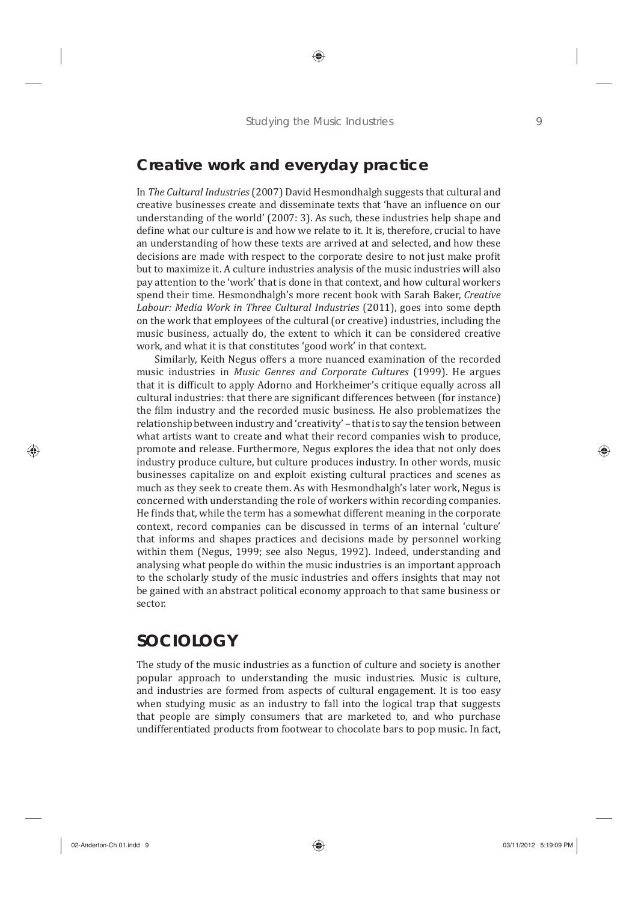#### **Creative work and everyday practice**

In *The Cultural Industries* (2007) David Hesmondhalgh suggests that cultural and creative businesses create and disseminate texts that 'have an influence on our understanding of the world' (2007: 3). As such, these industries help shape and define what our culture is and how we relate to it. It is, therefore, crucial to have an understanding of how these texts are arrived at and selected, and how these decisions are made with respect to the corporate desire to not just make profit but to maximize it. A culture industries analysis of the music industries will also pay attention to the 'work' that is done in that context, and how cultural workers spend their time. Hesmondhalgh's more recent book with Sarah Baker, *Creative*  Labour: Media Work in Three Cultural Industries (2011), goes into some depth on the work that employees of the cultural (or creative) industries, including the music business, actually do, the extent to which it can be considered creative work, and what it is that constitutes 'good work' in that context.

Similarly, Keith Negus offers a more nuanced examination of the recorded music industries in *Music Genres and Corporate Cultures* (1999). He argues that it is difficult to apply Adorno and Horkheimer's critique equally across all cultural industries: that there are significant differences between (for instance) the film industry and the recorded music business. He also problematizes the relationship between industry and 'creativity' – that is to say the tension between what artists want to create and what their record companies wish to produce, promote and release. Furthermore, Negus explores the idea that not only does industry produce culture, but culture produces industry. In other words, music businesses capitalize on and exploit existing cultural practices and scenes as much as they seek to create them. As with Hesmondhalgh's later work, Negus is concerned with understanding the role of workers within recording companies. He finds that, while the term has a somewhat different meaning in the corporate context, record companies can be discussed in terms of an internal 'culture' that informs and shapes practices and decisions made by personnel working within them (Negus, 1999; see also Negus, 1992). Indeed, understanding and analysing what people do within the music industries is an important approach to the scholarly study of the music industries and offers insights that may not be gained with an abstract political economy approach to that same business or sector.

#### **SOCIOLOGY**

The study of the music industries as a function of culture and society is another popular approach to understanding the music industries. Music is culture, and industries are formed from aspects of cultural engagement. It is too easy when studying music as an industry to fall into the logical trap that suggests that people are simply consumers that are marketed to, and who purchase undifferentiated products from footwear to chocolate bars to pop music. In fact,

♠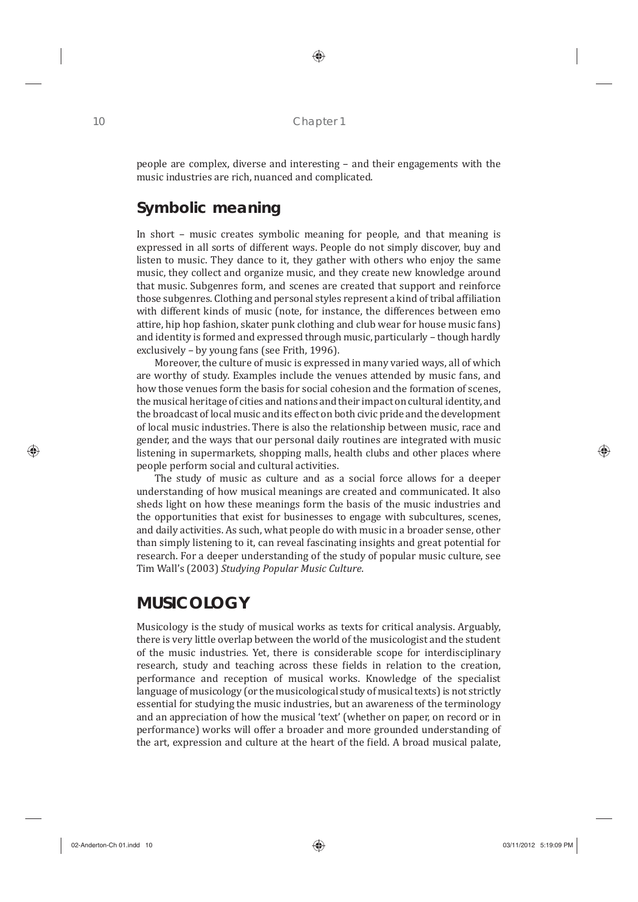◈

people are complex, diverse and interesting – and their engagements with the music industries are rich, nuanced and complicated.

#### **Symbolic meaning**

In short – music creates symbolic meaning for people, and that meaning is expressed in all sorts of different ways. People do not simply discover, buy and listen to music. They dance to it, they gather with others who enjoy the same music, they collect and organize music, and they create new knowledge around that music. Subgenres form, and scenes are created that support and reinforce those subgenres. Clothing and personal styles represent a kind of tribal affiliation with different kinds of music (note, for instance, the differences between emo attire, hip hop fashion, skater punk clothing and club wear for house music fans) and identity is formed and expressed through music, particularly – though hardly exclusively - by young fans (see Frith, 1996).

Moreover, the culture of music is expressed in many varied ways, all of which are worthy of study. Examples include the venues attended by music fans, and how those venues form the basis for social cohesion and the formation of scenes, the musical heritage of cities and nations and their impact on cultural identity, and the broadcast of local music and its effect on both civic pride and the development of local music industries. There is also the relationship between music, race and gender, and the ways that our personal daily routines are integrated with music listening in supermarkets, shopping malls, health clubs and other places where people perform social and cultural activities.

The study of music as culture and as a social force allows for a deeper understanding of how musical meanings are created and communicated. It also sheds light on how these meanings form the basis of the music industries and the opportunities that exist for businesses to engage with subcultures, scenes, and daily activities. As such, what people do with music in a broader sense, other than simply listening to it, can reveal fascinating insights and great potential for research. For a deeper understanding of the study of popular music culture, see Tim Wall's (2003) *Studying Popular Music Culture*.

#### **MUSICOLOGY**

Musicology is the study of musical works as texts for critical analysis. Arguably, there is very little overlap between the world of the musicologist and the student of the music industries. Yet, there is considerable scope for interdisciplinary research, study and teaching across these fields in relation to the creation, performance and reception of musical works. Knowledge of the specialist language of musicology (or the musicological study of musical texts) is not strictly essential for studying the music industries, but an awareness of the terminology and an appreciation of how the musical 'text' (whether on paper, on record or in performance) works will offer a broader and more grounded understanding of the art, expression and culture at the heart of the field. A broad musical palate,

♠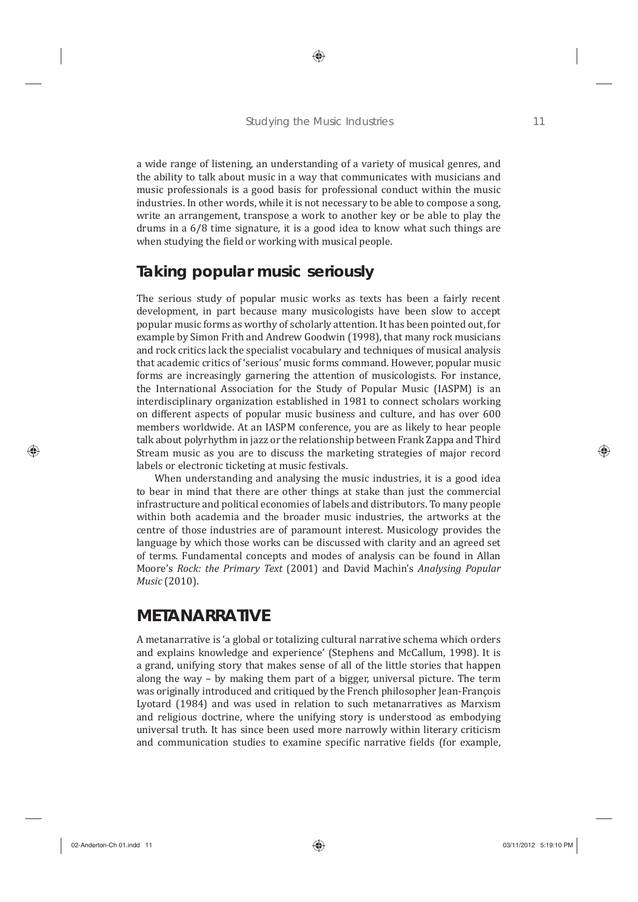a wide range of listening, an understanding of a variety of musical genres, and the ability to talk about music in a way that communicates with musicians and music professionals is a good basis for professional conduct within the music industries. In other words, while it is not necessary to be able to compose a song, write an arrangement, transpose a work to another key or be able to play the drums in a 6/8 time signature, it is a good idea to know what such things are when studying the field or working with musical people.

#### **Taking popular music seriously**

The serious study of popular music works as texts has been a fairly recent development, in part because many musicologists have been slow to accept popular music forms as worthy of scholarly attention. It has been pointed out, for example by Simon Frith and Andrew Goodwin (1998), that many rock musicians and rock critics lack the specialist vocabulary and techniques of musical analysis that academic critics of 'serious' music forms command. However, popular music forms are increasingly garnering the attention of musicologists. For instance, the International Association for the Study of Popular Music (IASPM) is an interdisciplinary organization established in 1981 to connect scholars working on different aspects of popular music business and culture, and has over 600 members worldwide. At an IASPM conference, you are as likely to hear people talk about polyrhythm in jazz or the relationship between Frank Zappa and Third Stream music as you are to discuss the marketing strategies of major record labels or electronic ticketing at music festivals.

When understanding and analysing the music industries, it is a good idea to bear in mind that there are other things at stake than just the commercial infrastructure and political economies of labels and distributors. To many people within both academia and the broader music industries, the artworks at the centre of those industries are of paramount interest. Musicology provides the language by which those works can be discussed with clarity and an agreed set of terms. Fundamental concepts and modes of analysis can be found in Allan Moore's *Rock: the Primary Text* (2001) and David Machin's *Analysing Popular Music* (2010).

#### **METANARRATIVE**

A metanarrative is 'a global or totalizing cultural narrative schema which orders and explains knowledge and experience' (Stephens and McCallum, 1998). It is a grand, unifying story that makes sense of all of the little stories that happen along the way – by making them part of a bigger, universal picture. The term was originally introduced and critiqued by the French philosopher Jean-François Lyotard (1984) and was used in relation to such metanarratives as Marxism and religious doctrine, where the unifying story is understood as embodying universal truth. It has since been used more narrowly within literary criticism and communication studies to examine specific narrative fields (for example,

♠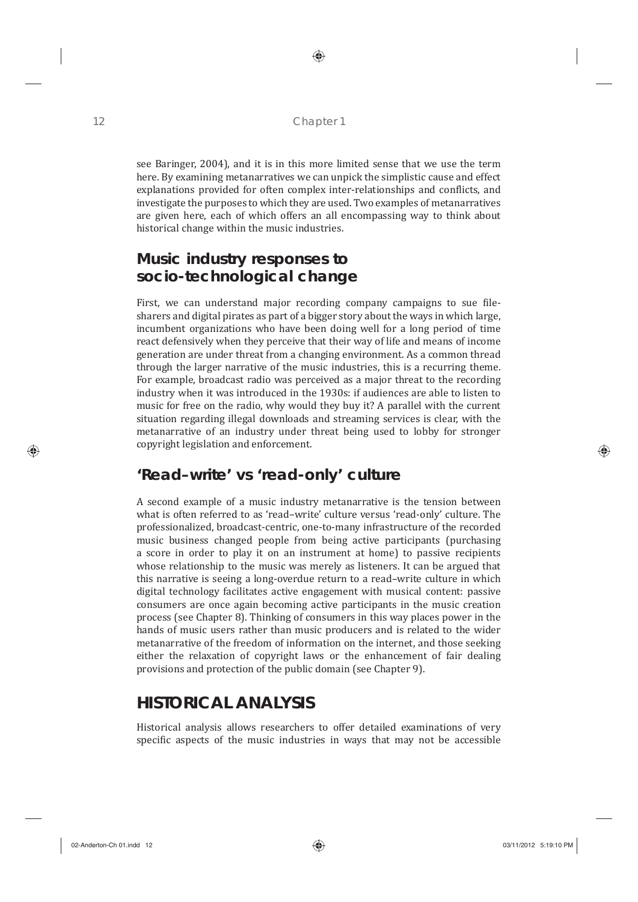♠

see Baringer, 2004), and it is in this more limited sense that we use the term here. By examining metanarratives we can unpick the simplistic cause and effect explanations provided for often complex inter-relationships and conflicts, and investigate the purposes to which they are used. Two examples of metanarratives are given here, each of which offers an all encompassing way to think about historical change within the music industries.

#### **Music industry responses to socio-technological change**

First, we can understand major recording company campaigns to sue filesharers and digital pirates as part of a bigger story about the ways in which large, incumbent organizations who have been doing well for a long period of time react defensively when they perceive that their way of life and means of income generation are under threat from a changing environment. As a common thread through the larger narrative of the music industries, this is a recurring theme. For example, broadcast radio was perceived as a major threat to the recording industry when it was introduced in the 1930s: if audiences are able to listen to music for free on the radio, why would they buy it? A parallel with the current situation regarding illegal downloads and streaming services is clear, with the metanarrative of an industry under threat being used to lobby for stronger copyright legislation and enforcement.

#### **'Read–write' vs 'read-only' culture**

A second example of a music industry metanarrative is the tension between what is often referred to as 'read–write' culture versus 'read-only' culture. The professionalized, broadcast-centric, one-to-many infrastructure of the recorded music business changed people from being active participants (purchasing a score in order to play it on an instrument at home) to passive recipients whose relationship to the music was merely as listeners. It can be argued that this narrative is seeing a long-overdue return to a read–write culture in which digital technology facilitates active engagement with musical content: passive consumers are once again becoming active participants in the music creation process (see Chapter 8). Thinking of consumers in this way places power in the hands of music users rather than music producers and is related to the wider metanarrative of the freedom of information on the internet, and those seeking either the relaxation of copyright laws or the enhancement of fair dealing provisions and protection of the public domain (see Chapter 9).

# **HISTORICAL ANALYSIS**

Historical analysis allows researchers to offer detailed examinations of very specific aspects of the music industries in ways that may not be accessible

♠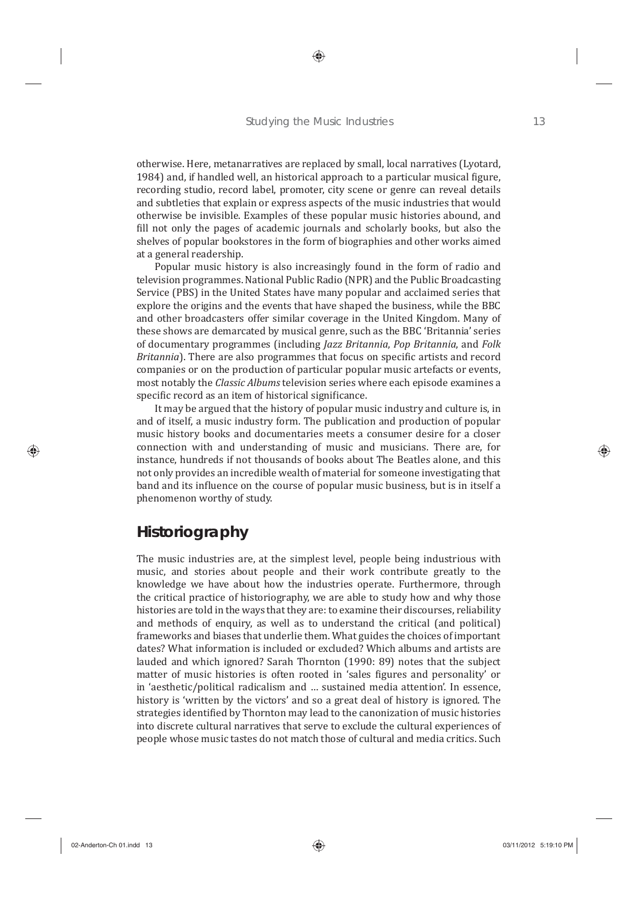otherwise. Here, metanarratives are replaced by small, local narratives (Lyotard, 1984) and, if handled well, an historical approach to a particular musical figure, recording studio, record label, promoter, city scene or genre can reveal details and subtleties that explain or express aspects of the music industries that would otherwise be invisible. Examples of these popular music histories abound, and fill not only the pages of academic journals and scholarly books, but also the shelves of popular bookstores in the form of biographies and other works aimed at a general readership.

Popular music history is also increasingly found in the form of radio and television programmes. National Public Radio (NPR) and the Public Broadcasting Service (PBS) in the United States have many popular and acclaimed series that explore the origins and the events that have shaped the business, while the BBC and other broadcasters offer similar coverage in the United Kingdom. Many of these shows are demarcated by musical genre, such as the BBC 'Britannia' series of documentary programmes (including *Jazz Britannia*, *Pop Britannia*, and *Folk Britannia*). There are also programmes that focus on specific artists and record companies or on the production of particular popular music artefacts or events, most notably the *Classic Albums* television series where each episode examines a specific record as an item of historical significance.

It may be argued that the history of popular music industry and culture is, in and of itself, a music industry form. The publication and production of popular music history books and documentaries meets a consumer desire for a closer connection with and understanding of music and musicians. There are, for instance, hundreds if not thousands of books about The Beatles alone, and this not only provides an incredible wealth of material for someone investigating that band and its influence on the course of popular music business, but is in itself a phenomenon worthy of study.

#### **Historiography**

The music industries are, at the simplest level, people being industrious with music, and stories about people and their work contribute greatly to the knowledge we have about how the industries operate. Furthermore, through the critical practice of historiography, we are able to study how and why those histories are told in the ways that they are: to examine their discourses, reliability and methods of enquiry, as well as to understand the critical (and political) frameworks and biases that underlie them. What guides the choices of important dates? What information is included or excluded? Which albums and artists are lauded and which ignored? Sarah Thornton (1990: 89) notes that the subject matter of music histories is often rooted in 'sales figures and personality' or in 'aesthetic/political radicalism and ... sustained media attention'. In essence, history is 'written by the victors' and so a great deal of history is ignored. The strategies identified by Thornton may lead to the canonization of music histories into discrete cultural narratives that serve to exclude the cultural experiences of people whose music tastes do not match those of cultural and media critics. Such ♠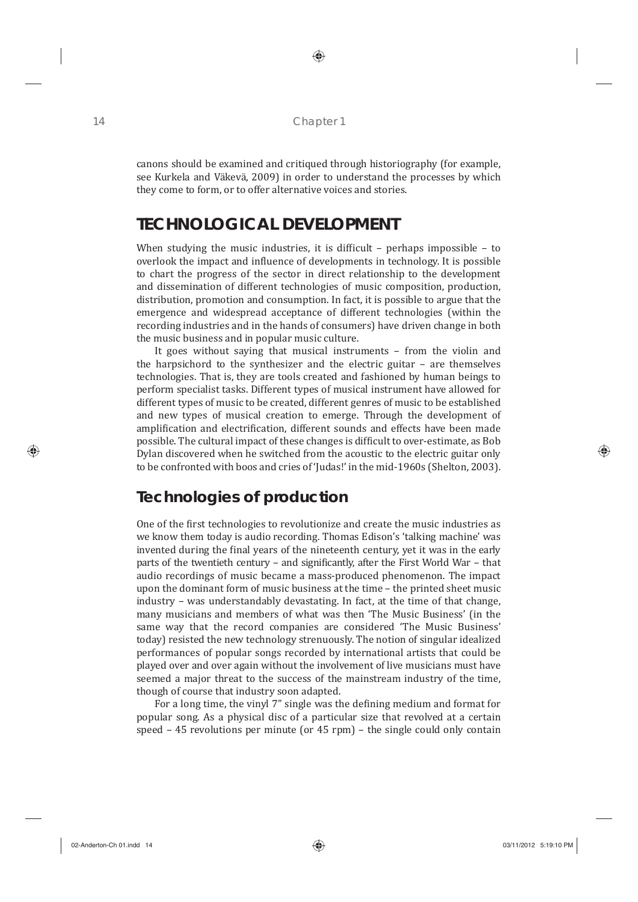◈

canons should be examined and critiqued through historiography (for example, see Kurkela and Väkevä, 2009) in order to understand the processes by which they come to form, or to offer alternative voices and stories.

#### **TECHNOLOGICAL DEVELOPMENT**

When studying the music industries, it is difficult  $-$  perhaps impossible  $-$  to overlook the impact and influence of developments in technology. It is possible to chart the progress of the sector in direct relationship to the development and dissemination of different technologies of music composition, production, distribution, promotion and consumption. In fact, it is possible to argue that the emergence and widespread acceptance of different technologies (within the recording industries and in the hands of consumers) have driven change in both the music business and in popular music culture.

It goes without saying that musical instruments – from the violin and the harpsichord to the synthesizer and the electric guitar – are themselves technologies. That is, they are tools created and fashioned by human beings to perform specialist tasks. Different types of musical instrument have allowed for different types of music to be created, different genres of music to be established and new types of musical creation to emerge. Through the development of amplification and electrification, different sounds and effects have been made possible. The cultural impact of these changes is difficult to over-estimate, as Bob Dylan discovered when he switched from the acoustic to the electric guitar only to be confronted with boos and cries of 'Judas!' in the mid-1960s (Shelton, 2003).

#### **Technologies of production**

One of the first technologies to revolutionize and create the music industries as we know them today is audio recording. Thomas Edison's 'talking machine' was invented during the final years of the nineteenth century, yet it was in the early parts of the twentieth century - and significantly, after the First World War - that audio recordings of music became a mass-produced phenomenon. The impact upon the dominant form of music business at the time – the printed sheet music industry – was understandably devastating. In fact, at the time of that change, many musicians and members of what was then 'The Music Business' (in the same way that the record companies are considered 'The Music Business' today) resisted the new technology strenuously. The notion of singular idealized performances of popular songs recorded by international artists that could be played over and over again without the involvement of live musicians must have seemed a major threat to the success of the mainstream industry of the time, though of course that industry soon adapted.

For a long time, the vinyl 7" single was the defining medium and format for popular song. As a physical disc of a particular size that revolved at a certain speed  $-45$  revolutions per minute (or  $45$  rpm) – the single could only contain

♠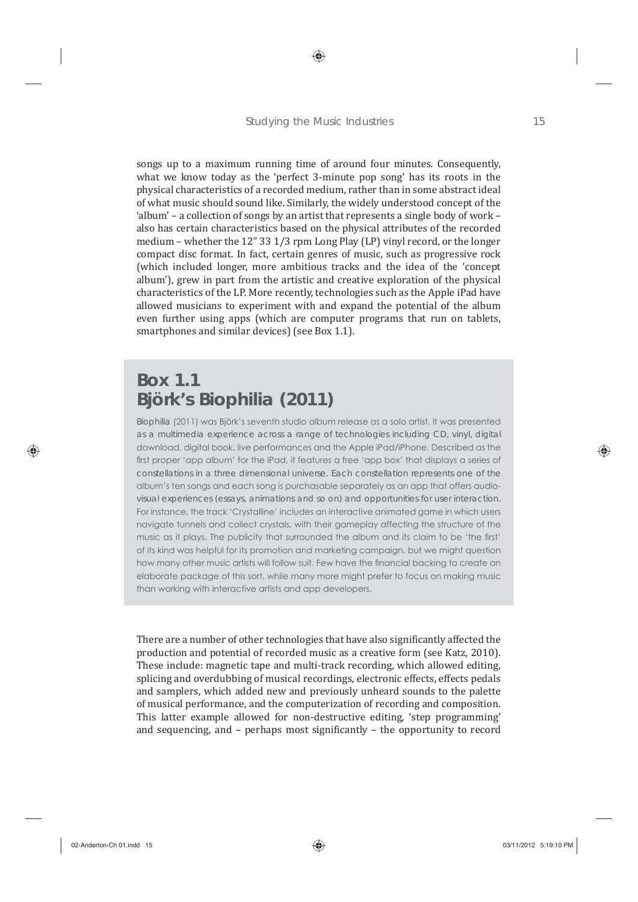#### Studying the Music Industries 15

◈

songs up to a maximum running time of around four minutes. Consequently, what we know today as the 'perfect 3-minute pop song' has its roots in the physical characteristics of a recorded medium, rather than in some abstract ideal of what music should sound like. Similarly, the widely understood concept of the 'album' – a collection of songs by an artist that represents a single body of work – also has certain characteristics based on the physical attributes of the recorded medium - whether the 12" 33 1/3 rpm Long Play (LP) vinyl record, or the longer compact disc format. In fact, certain genres of music, such as progressive rock (which included longer, more ambitious tracks and the idea of the 'concept album'), grew in part from the artistic and creative exploration of the physical characteristics of the LP. More recently, technologies such as the Apple iPad have allowed musicians to experiment with and expand the potential of the album even further using apps (which are computer programs that run on tablets, smartphones and similar devices) (see Box 1.1).

# **Box 1.1 Björk's** *Biophilia* **(2011)**

Biophilia (2011) was Björk's seventh studio album release as a solo artist. It was presented as a multimedia experience across a range of technologies including CD, vinyl, digital download, digital book, live performances and the Apple iPad/iPhone. Described as the first proper 'app album' for the iPad, it features a free 'app box' that displays a series of constellations in a three dimensional universe. Each constellation represents one of the album's ten songs and each song is purchasable separately as an app that offers audiovisual experiences (essays, animations and so on) and opportunities for user interaction. For instance, the track 'Crystalline' includes an interactive animated game in which users navigate tunnels and collect crystals, with their gameplay affecting the structure of the music as it plays. The publicity that surrounded the album and its claim to be 'the first' of its kind was helpful for its promotion and marketing campaign, but we might question how many other music artists will follow suit. Few have the financial backing to create an elaborate package of this sort, while many more might prefer to focus on making music than working with interactive artists and app developers.

There are a number of other technologies that have also significantly affected the production and potential of recorded music as a creative form (see Katz, 2010). These include: magnetic tape and multi-track recording, which allowed editing, splicing and overdubbing of musical recordings, electronic effects, effects pedals and samplers, which added new and previously unheard sounds to the palette of musical performance, and the computerization of recording and composition. This latter example allowed for non-destructive editing, 'step programming' and sequencing, and  $-$  perhaps most significantly  $-$  the opportunity to record ♠

◈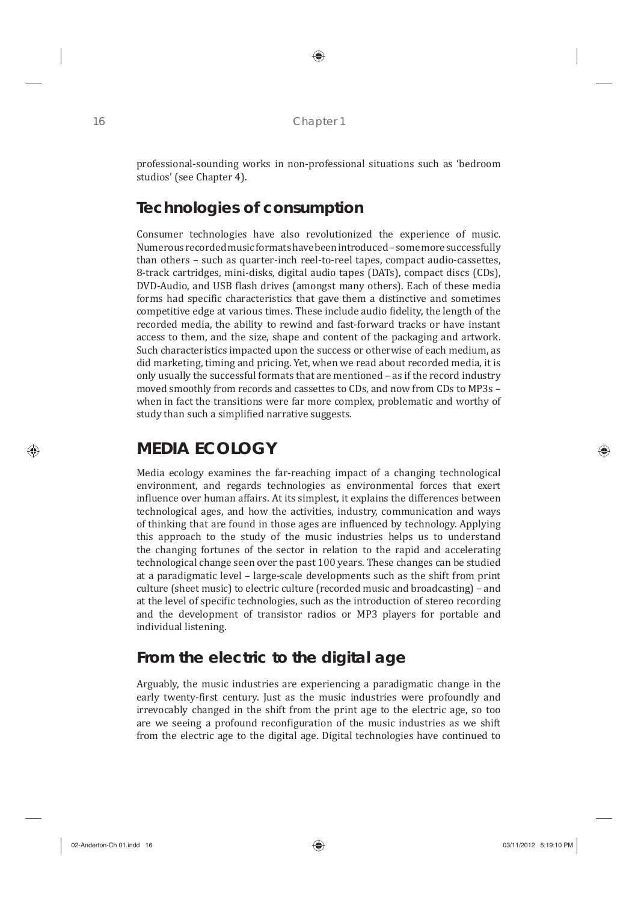◈

professional-sounding works in non-professional situations such as 'bedroom studios' (see Chapter 4).

#### **Technologies of consumption**

Consumer technologies have also revolutionized the experience of music. Numerous recorded music formats have been introduced – some more successfully than others – such as quarter-inch reel-to-reel tapes, compact audio-cassettes, 8-track cartridges, mini-disks, digital audio tapes (DATs), compact discs (CDs), DVD-Audio, and USB flash drives (amongst many others). Each of these media forms had specific characteristics that gave them a distinctive and sometimes competitive edge at various times. These include audio fidelity, the length of the recorded media, the ability to rewind and fast-forward tracks or have instant access to them, and the size, shape and content of the packaging and artwork. Such characteristics impacted upon the success or otherwise of each medium, as did marketing, timing and pricing. Yet, when we read about recorded media, it is only usually the successful formats that are mentioned – as if the record industry moved smoothly from records and cassettes to CDs, and now from CDs to MP3s – when in fact the transitions were far more complex, problematic and worthy of study than such a simplified narrative suggests.

#### **MEDIA ECOLOGY**

Media ecology examines the far-reaching impact of a changing technological environment, and regards technologies as environmental forces that exert influence over human affairs. At its simplest, it explains the differences between technological ages, and how the activities, industry, communication and ways of thinking that are found in those ages are influenced by technology. Applying this approach to the study of the music industries helps us to understand the changing fortunes of the sector in relation to the rapid and accelerating technological change seen over the past 100 years. These changes can be studied at a paradigmatic level – large-scale developments such as the shift from print culture (sheet music) to electric culture (recorded music and broadcasting) – and at the level of specific technologies, such as the introduction of stereo recording and the development of transistor radios or MP3 players for portable and individual listening.

#### **From the electric to the digital age**

Arguably, the music industries are experiencing a paradigmatic change in the early twenty-first century. Just as the music industries were profoundly and irrevocably changed in the shift from the print age to the electric age, so too are we seeing a profound reconfiguration of the music industries as we shift from the electric age to the digital age. Digital technologies have continued to

♠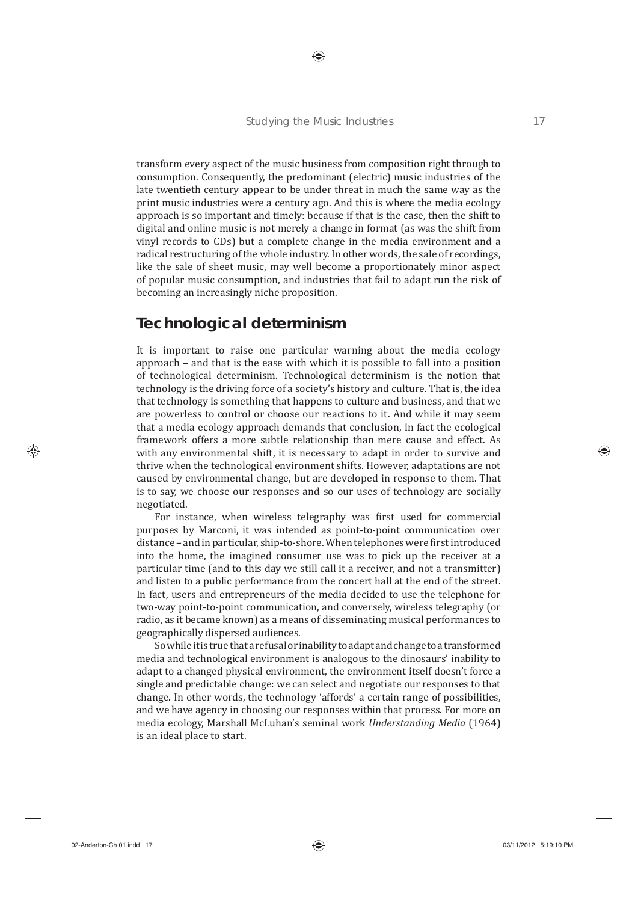transform every aspect of the music business from composition right through to consumption. Consequently, the predominant (electric) music industries of the late twentieth century appear to be under threat in much the same way as the print music industries were a century ago. And this is where the media ecology approach is so important and timely: because if that is the case, then the shift to digital and online music is not merely a change in format (as was the shift from vinyl records to CDs) but a complete change in the media environment and a radical restructuring of the whole industry. In other words, the sale of recordings, like the sale of sheet music, may well become a proportionately minor aspect of popular music consumption, and industries that fail to adapt run the risk of becoming an increasingly niche proposition.

#### **Technological determinism**

It is important to raise one particular warning about the media ecology approach – and that is the ease with which it is possible to fall into a position of technological determinism. Technological determinism is the notion that technology is the driving force of a society's history and culture. That is, the idea that technology is something that happens to culture and business, and that we are powerless to control or choose our reactions to it. And while it may seem that a media ecology approach demands that conclusion, in fact the ecological framework offers a more subtle relationship than mere cause and effect. As with any environmental shift, it is necessary to adapt in order to survive and thrive when the technological environment shifts. However, adaptations are not caused by environmental change, but are developed in response to them. That is to say, we choose our responses and so our uses of technology are socially negotiated.

For instance, when wireless telegraphy was first used for commercial purposes by Marconi, it was intended as point-to-point communication over distance - and in particular, ship-to-shore. When telephones were first introduced into the home, the imagined consumer use was to pick up the receiver at a particular time (and to this day we still call it a receiver, and not a transmitter) and listen to a public performance from the concert hall at the end of the street. In fact, users and entrepreneurs of the media decided to use the telephone for two-way point-to-point communication, and conversely, wireless telegraphy (or radio, as it became known) as a means of disseminating musical performances to geographically dispersed audiences.

So while it is true that a refusal or inability to adapt and change to a transformed media and technological environment is analogous to the dinosaurs' inability to adapt to a changed physical environment, the environment itself doesn't force a single and predictable change: we can select and negotiate our responses to that change. In other words, the technology 'affords' a certain range of possibilities, and we have agency in choosing our responses within that process. For more on media ecology, Marshall McLuhan's seminal work *Understanding Media* (1964) is an ideal place to start.

♠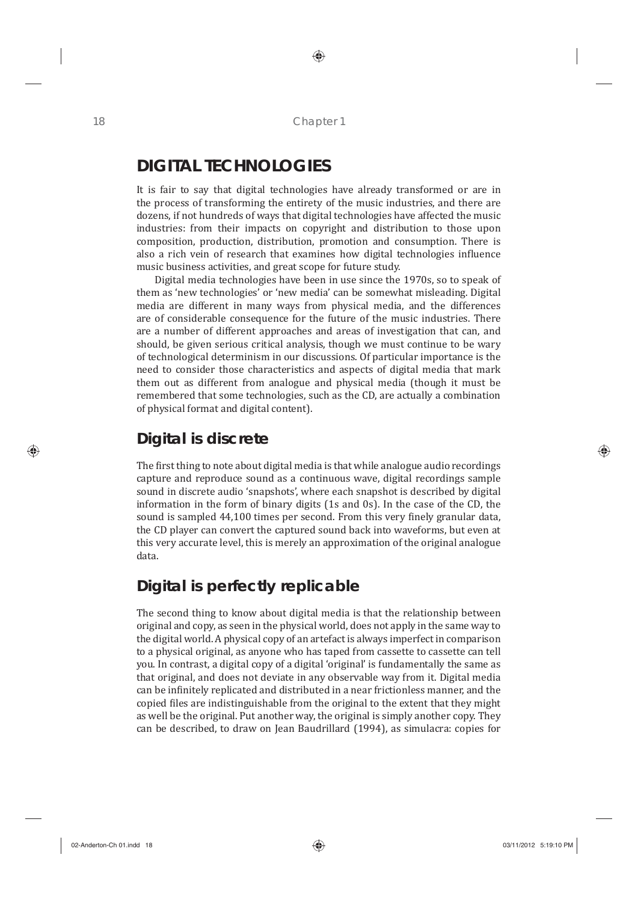◈

#### **DIGITAL TECHNOLOGIES**

It is fair to say that digital technologies have already transformed or are in the process of transforming the entirety of the music industries, and there are dozens, if not hundreds of ways that digital technologies have affected the music industries: from their impacts on copyright and distribution to those upon composition, production, distribution, promotion and consumption. There is also a rich vein of research that examines how digital technologies influence music business activities, and great scope for future study.

Digital media technologies have been in use since the 1970s, so to speak of them as 'new technologies' or 'new media' can be somewhat misleading. Digital media are different in many ways from physical media, and the differences are of considerable consequence for the future of the music industries. There are a number of different approaches and areas of investigation that can, and should, be given serious critical analysis, though we must continue to be wary of technological determinism in our discussions. Of particular importance is the need to consider those characteristics and aspects of digital media that mark them out as different from analogue and physical media (though it must be remembered that some technologies, such as the CD, are actually a combination of physical format and digital content).

#### **Digital is discrete**

The first thing to note about digital media is that while analogue audio recordings capture and reproduce sound as a continuous wave, digital recordings sample sound in discrete audio 'snapshots', where each snapshot is described by digital information in the form of binary digits (1s and 0s). In the case of the CD, the sound is sampled 44,100 times per second. From this very finely granular data, the CD player can convert the captured sound back into waveforms, but even at this very accurate level, this is merely an approximation of the original analogue data.

#### **Digital is perfectly replicable**

The second thing to know about digital media is that the relationship between original and copy, as seen in the physical world, does not apply in the same way to the digital world. A physical copy of an artefact is always imperfect in comparison to a physical original, as anyone who has taped from cassette to cassette can tell you. In contrast, a digital copy of a digital 'original' is fundamentally the same as that original, and does not deviate in any observable way from it. Digital media can be infinitely replicated and distributed in a near frictionless manner, and the copied files are indistinguishable from the original to the extent that they might as well be the original. Put another way, the original is simply another copy. They can be described, to draw on Jean Baudrillard (1994), as simulacra: copies for

♠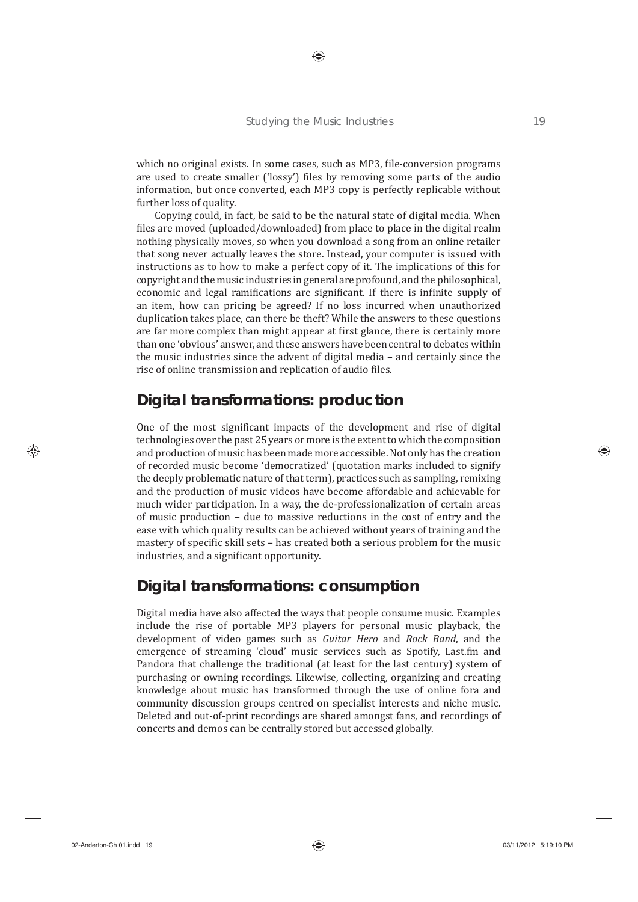which no original exists. In some cases, such as MP3, file-conversion programs are used to create smaller ('lossy') files by removing some parts of the audio information, but once converted, each MP3 copy is perfectly replicable without further loss of quality.

Copying could, in fact, be said to be the natural state of digital media. When files are moved (uploaded/downloaded) from place to place in the digital realm nothing physically moves, so when you download a song from an online retailer that song never actually leaves the store. Instead, your computer is issued with instructions as to how to make a perfect copy of it. The implications of this for copyright and the music industries in general are profound, and the philosophical, economic and legal ramifications are significant. If there is infinite supply of an item, how can pricing be agreed? If no loss incurred when unauthorized duplication takes place, can there be theft? While the answers to these questions are far more complex than might appear at first glance, there is certainly more than one 'obvious' answer, and these answers have been central to debates within the music industries since the advent of digital media – and certainly since the rise of online transmission and replication of audio files.

#### **Digital transformations: production**

One of the most significant impacts of the development and rise of digital technologies over the past 25 years or more is the extent to which the composition and production of music has been made more accessible. Not only has the creation of recorded music become 'democratized' (quotation marks included to signify the deeply problematic nature of that term), practices such as sampling, remixing and the production of music videos have become affordable and achievable for much wider participation. In a way, the de-professionalization of certain areas of music production – due to massive reductions in the cost of entry and the ease with which quality results can be achieved without years of training and the mastery of specific skill sets - has created both a serious problem for the music industries, and a significant opportunity.

#### **Digital transformations: consumption**

Digital media have also affected the ways that people consume music. Examples include the rise of portable MP3 players for personal music playback, the development of video games such as *Guitar Hero* and *Rock Band*, and the emergence of streaming 'cloud' music services such as Spotify, Last.fm and Pandora that challenge the traditional (at least for the last century) system of purchasing or owning recordings. Likewise, collecting, organizing and creating knowledge about music has transformed through the use of online fora and community discussion groups centred on specialist interests and niche music. Deleted and out-of-print recordings are shared amongst fans, and recordings of concerts and demos can be centrally stored but accessed globally.

♠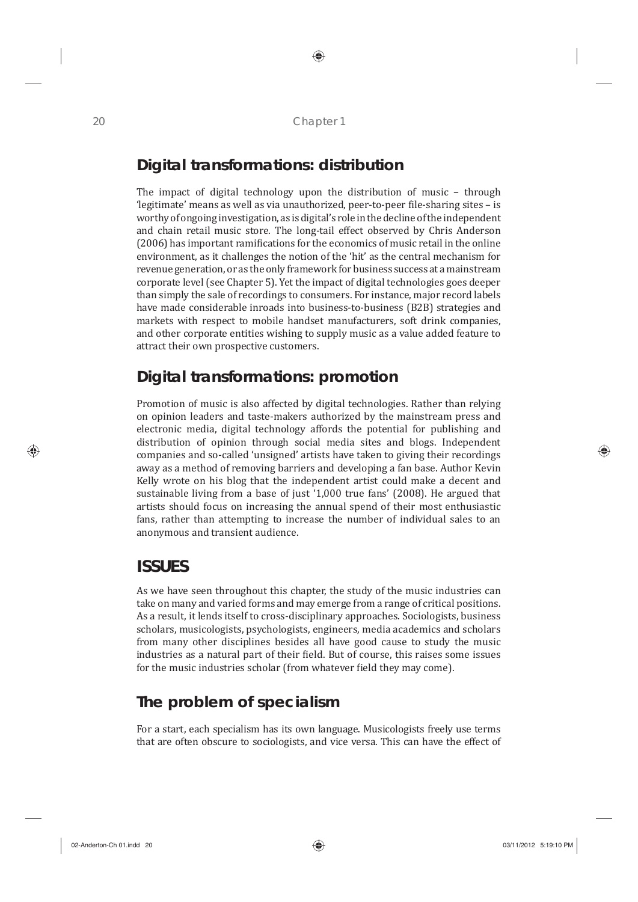♠

#### **Digital transformations: distribution**

The impact of digital technology upon the distribution of music – through 'legitimate' means as well as via unauthorized, peer-to-peer file-sharing sites - is worthy of ongoing investigation, as is digital's role in the decline of the independent and chain retail music store. The long-tail effect observed by Chris Anderson (2006) has important ramifications for the economics of music retail in the online environment, as it challenges the notion of the 'hit' as the central mechanism for revenue generation, or as the only framework for business success at a mainstream corporate level (see Chapter 5). Yet the impact of digital technologies goes deeper than simply the sale of recordings to consumers. For instance, major record labels have made considerable inroads into business-to-business (B2B) strategies and markets with respect to mobile handset manufacturers, soft drink companies, and other corporate entities wishing to supply music as a value added feature to attract their own prospective customers.

#### **Digital transformations: promotion**

Promotion of music is also affected by digital technologies. Rather than relying on opinion leaders and taste-makers authorized by the mainstream press and electronic media, digital technology affords the potential for publishing and distribution of opinion through social media sites and blogs. Independent companies and so-called 'unsigned' artists have taken to giving their recordings away as a method of removing barriers and developing a fan base. Author Kevin Kelly wrote on his blog that the independent artist could make a decent and sustainable living from a base of just '1,000 true fans' (2008). He argued that artists should focus on increasing the annual spend of their most enthusiastic fans, rather than attempting to increase the number of individual sales to an anonymous and transient audience.

#### **ISSUES**

As we have seen throughout this chapter, the study of the music industries can take on many and varied forms and may emerge from a range of critical positions. As a result, it lends itself to cross-disciplinary approaches. Sociologists, business scholars, musicologists, psychologists, engineers, media academics and scholars from many other disciplines besides all have good cause to study the music industries as a natural part of their field. But of course, this raises some issues for the music industries scholar (from whatever field they may come).

## **The problem of specialism**

For a start, each specialism has its own language. Musicologists freely use terms that are often obscure to sociologists, and vice versa. This can have the effect of

♠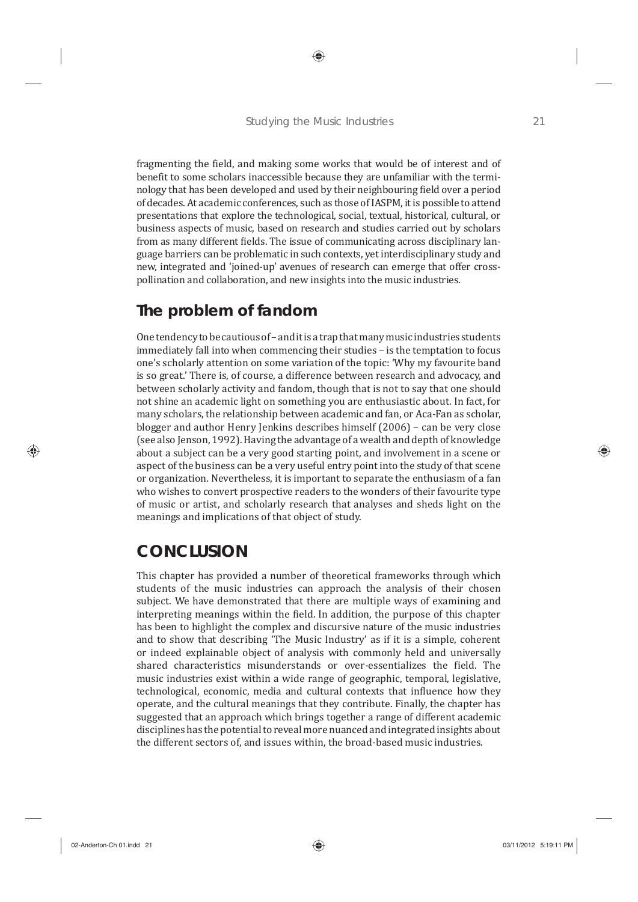fragmenting the field, and making some works that would be of interest and of benefit to some scholars inaccessible because they are unfamiliar with the terminology that has been developed and used by their neighbouring field over a period of decades. At academic conferences, such as those of IASPM, it is possible to attend presentations that explore the technological, social, textual, historical, cultural, or business aspects of music, based on research and studies carried out by scholars from as many different fields. The issue of communicating across disciplinary language barriers can be problematic in such contexts, yet interdisciplinary study and new, integrated and 'joined-up' avenues of research can emerge that offer crosspollination and collaboration, and new insights into the music industries.

#### **The problem of fandom**

One tendency to be cautious of - and it is a trap that many music industries students immediately fall into when commencing their studies – is the temptation to focus one's scholarly attention on some variation of the topic: 'Why my favourite band is so great.' There is, of course, a difference between research and advocacy, and between scholarly activity and fandom, though that is not to say that one should not shine an academic light on something you are enthusiastic about. In fact, for many scholars, the relationship between academic and fan, or Aca-Fan as scholar, blogger and author Henry Jenkins describes himself (2006) – can be very close (see also Jenson, 1992). Having the advantage of a wealth and depth of knowledge about a subject can be a very good starting point, and involvement in a scene or aspect of the business can be a very useful entry point into the study of that scene or organization. Nevertheless, it is important to separate the enthusiasm of a fan who wishes to convert prospective readers to the wonders of their favourite type of music or artist, and scholarly research that analyses and sheds light on the meanings and implications of that object of study.

#### **CONCLUSION**

This chapter has provided a number of theoretical frameworks through which students of the music industries can approach the analysis of their chosen subject. We have demonstrated that there are multiple ways of examining and interpreting meanings within the field. In addition, the purpose of this chapter has been to highlight the complex and discursive nature of the music industries and to show that describing 'The Music Industry' as if it is a simple, coherent or indeed explainable object of analysis with commonly held and universally shared characteristics misunderstands or over-essentializes the field. The music industries exist within a wide range of geographic, temporal, legislative, technological, economic, media and cultural contexts that influence how they operate, and the cultural meanings that they contribute. Finally, the chapter has suggested that an approach which brings together a range of different academic disciplines has the potential to reveal more nuanced and integrated insights about the different sectors of, and issues within, the broad-based music industries.

♠